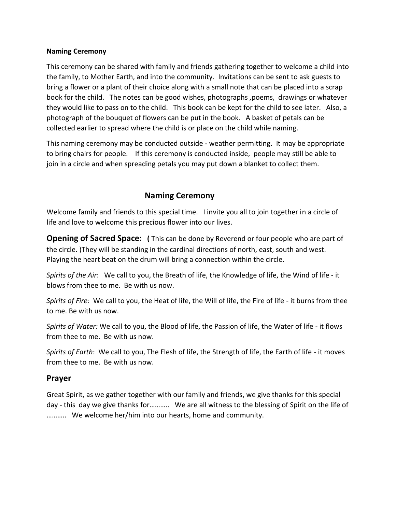### **Naming Ceremony**

This ceremony can be shared with family and friends gathering together to welcome a child into the family, to Mother Earth, and into the community. Invitations can be sent to ask guests to bring a flower or a plant of their choice along with a small note that can be placed into a scrap book for the child. The notes can be good wishes, photographs ,poems, drawings or whatever they would like to pass on to the child. This book can be kept for the child to see later. Also, a photograph of the bouquet of flowers can be put in the book. A basket of petals can be collected earlier to spread where the child is or place on the child while naming.

This naming ceremony may be conducted outside - weather permitting. It may be appropriate to bring chairs for people. If this ceremony is conducted inside, people may still be able to join in a circle and when spreading petals you may put down a blanket to collect them.

# **Naming Ceremony**

Welcome family and friends to this special time. I invite you all to join together in a circle of life and love to welcome this precious flower into our lives.

**Opening of Sacred Space: (** This can be done by Reverend or four people who are part of the circle. )They will be standing in the cardinal directions of north, east, south and west. Playing the heart beat on the drum will bring a connection within the circle.

*Spirits of the Air*: We call to you, the Breath of life, the Knowledge of life, the Wind of life - it blows from thee to me. Be with us now.

*Spirits of Fire:* We call to you, the Heat of life, the Will of life, the Fire of life - it burns from thee to me. Be with us now.

*Spirits of Water:* We call to you, the Blood of life, the Passion of life, the Water of life - it flows from thee to me. Be with us now.

*Spirits of Earth*: We call to you, The Flesh of life, the Strength of life, the Earth of life - it moves from thee to me. Be with us now.

## **Prayer**

Great Spirit, as we gather together with our family and friends, we give thanks for this special day - this day we give thanks for……….. We are all witness to the blessing of Spirit on the life of ……….. We welcome her/him into our hearts, home and community.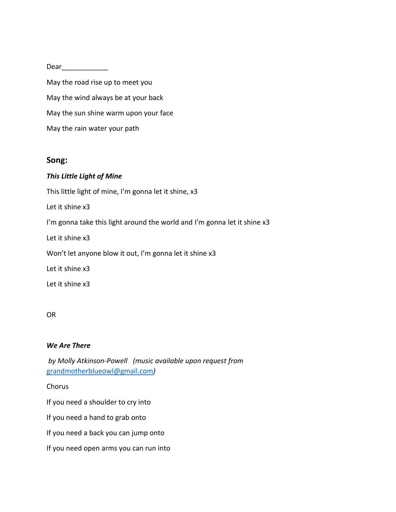Dear\_\_\_\_\_\_\_\_\_\_\_\_

May the road rise up to meet you May the wind always be at your back May the sun shine warm upon your face May the rain water your path

### **Song:**

### *This Little Light of Mine*

This little light of mine, I'm gonna let it shine, x3

Let it shine x3

I'm gonna take this light around the world and I'm gonna let it shine x3

Let it shine x3

Won't let anyone blow it out, I'm gonna let it shine x3

Let it shine x3

Let it shine x3

### OR

### *We Are There*

*by Molly Atkinson-Powell (music available upon request from*  [grandmotherblueowl@gmail.com](mailto:grandmotherblueowl@gmail.com)*)*

Chorus

If you need a shoulder to cry into

If you need a hand to grab onto

If you need a back you can jump onto

If you need open arms you can run into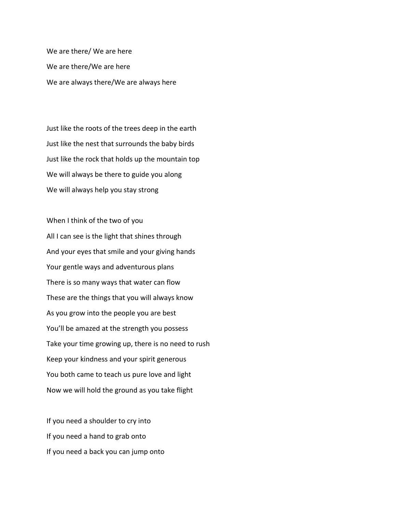We are there/ We are here We are there/We are here We are always there/We are always here

Just like the roots of the trees deep in the earth Just like the nest that surrounds the baby birds Just like the rock that holds up the mountain top We will always be there to guide you along We will always help you stay strong

When I think of the two of you All I can see is the light that shines through And your eyes that smile and your giving hands Your gentle ways and adventurous plans There is so many ways that water can flow These are the things that you will always know As you grow into the people you are best You'll be amazed at the strength you possess Take your time growing up, there is no need to rush Keep your kindness and your spirit generous You both came to teach us pure love and light Now we will hold the ground as you take flight

If you need a shoulder to cry into If you need a hand to grab onto If you need a back you can jump onto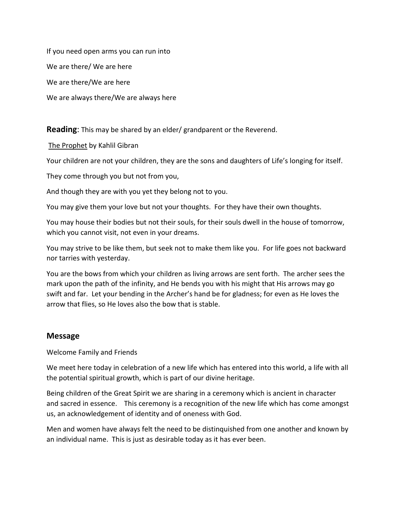If you need open arms you can run into We are there/ We are here We are there/We are here We are always there/We are always here

**Reading**: This may be shared by an elder/ grandparent or the Reverend.

The Prophet by Kahlil Gibran

Your children are not your children, they are the sons and daughters of Life's longing for itself.

They come through you but not from you,

And though they are with you yet they belong not to you.

You may give them your love but not your thoughts. For they have their own thoughts.

You may house their bodies but not their souls, for their souls dwell in the house of tomorrow, which you cannot visit, not even in your dreams.

You may strive to be like them, but seek not to make them like you. For life goes not backward nor tarries with yesterday.

You are the bows from which your children as living arrows are sent forth. The archer sees the mark upon the path of the infinity, and He bends you with his might that His arrows may go swift and far. Let your bending in the Archer's hand be for gladness; for even as He loves the arrow that flies, so He loves also the bow that is stable.

# **Message**

Welcome Family and Friends

We meet here today in celebration of a new life which has entered into this world, a life with all the potential spiritual growth, which is part of our divine heritage.

Being children of the Great Spirit we are sharing in a ceremony which is ancient in character and sacred in essence. This ceremony is a recognition of the new life which has come amongst us, an acknowledgement of identity and of oneness with God.

Men and women have always felt the need to be distinquished from one another and known by an individual name. This is just as desirable today as it has ever been.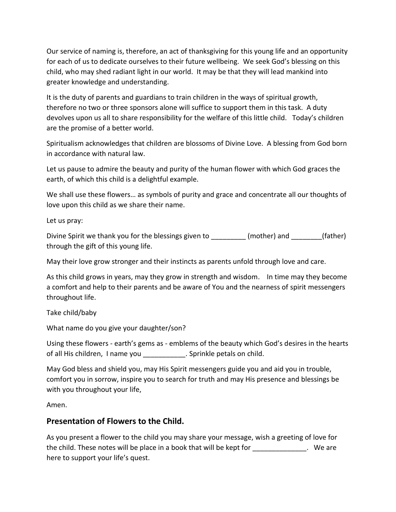Our service of naming is, therefore, an act of thanksgiving for this young life and an opportunity for each of us to dedicate ourselves to their future wellbeing. We seek God's blessing on this child, who may shed radiant light in our world. It may be that they will lead mankind into greater knowledge and understanding.

It is the duty of parents and guardians to train children in the ways of spiritual growth, therefore no two or three sponsors alone will suffice to support them in this task. A duty devolves upon us all to share responsibility for the welfare of this little child. Today's children are the promise of a better world.

Spiritualism acknowledges that children are blossoms of Divine Love. A blessing from God born in accordance with natural law.

Let us pause to admire the beauty and purity of the human flower with which God graces the earth, of which this child is a delightful example.

We shall use these flowers… as symbols of purity and grace and concentrate all our thoughts of love upon this child as we share their name.

Let us pray:

Divine Spirit we thank you for the blessings given to  $(mother)$  and  $(father)$ through the gift of this young life.

May their love grow stronger and their instincts as parents unfold through love and care.

As this child grows in years, may they grow in strength and wisdom. In time may they become a comfort and help to their parents and be aware of You and the nearness of spirit messengers throughout life.

Take child/baby

What name do you give your daughter/son?

Using these flowers - earth's gems as - emblems of the beauty which God's desires in the hearts of all His children, I name you \_\_\_\_\_\_\_\_\_\_\_. Sprinkle petals on child.

May God bless and shield you, may His Spirit messengers guide you and aid you in trouble, comfort you in sorrow, inspire you to search for truth and may His presence and blessings be with you throughout your life,

Amen.

# **Presentation of Flowers to the Child.**

As you present a flower to the child you may share your message, wish a greeting of love for the child. These notes will be place in a book that will be kept for Theorem 2012. We are here to support your life's quest.